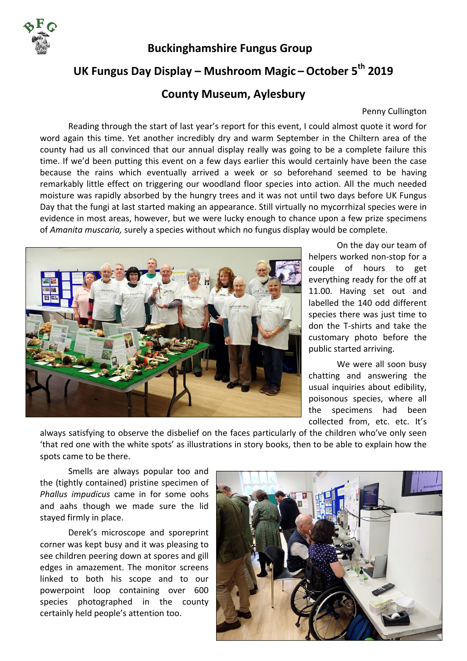

 **Buckinghamshire Fungus Group** 

## **UK Fungus Day Display – Mushroom Magic –October 5th 2019**

## **County Museum, Aylesbury**

## Penny Cullington

 Reading through the start of last year's report for this event, I could almost quote it word for word again this time. Yet another incredibly dry and warm September in the Chiltern area of the county had us all convinced that our annual display really was going to be a complete failure this time. If we'd been putting this event on a few days earlier this would certainly have been the case because the rains which eventually arrived a week or so beforehand seemed to be having remarkably little effect on triggering our woodland floor species into action. All the much needed moisture was rapidly absorbed by the hungry trees and it was not until two days before UK Fungus Day that the fungi at last started making an appearance. Still virtually no mycorrhizal species were in evidence in most areas, however, but we were lucky enough to chance upon a few prize specimens of *Amanita muscaria,* surely a species without which no fungus display would be complete.



 On the day our team of helpers worked non‐stop for a couple of hours to get everything ready for the off at 11.00. Having set out and labelled the 140 odd different species there was just time to don the T‐shirts and take the customary photo before the public started arriving.

We were all soon busy chatting and answering the usual inquiries about edibility, poisonous species, where all the specimens had been collected from, etc. etc. It's

always satisfying to observe the disbelief on the faces particularly of the children who've only seen 'that red one with the white spots' as illustrations in story books, then to be able to explain how the spots came to be there.

 Smells are always popular too and the (tightly contained) pristine specimen of *Phallus impudicus* came in for some oohs and aahs though we made sure the lid stayed firmly in place.

 Derek's microscope and sporeprint corner was kept busy and it was pleasing to see children peering down at spores and gill edges in amazement. The monitor screens linked to both his scope and to our powerpoint loop containing over 600 species photographed in the county certainly held people's attention too.